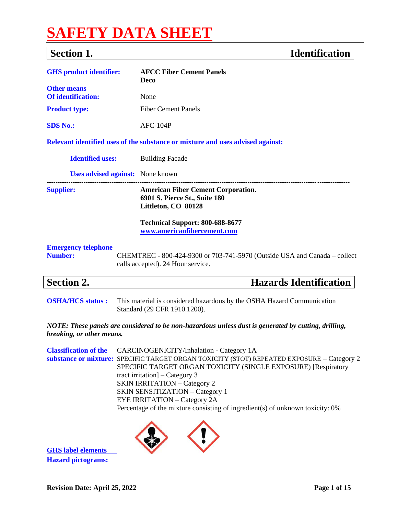# **SAFETY DATA SHEET**

## **Section 1. Identification**

| <b>GHS</b> product identifier:               | <b>AFCC Fiber Cement Panels</b><br>Deco                                                                                                                                                                                                     |
|----------------------------------------------|---------------------------------------------------------------------------------------------------------------------------------------------------------------------------------------------------------------------------------------------|
| <b>Other means</b>                           |                                                                                                                                                                                                                                             |
| <b>Of identification:</b>                    | None                                                                                                                                                                                                                                        |
| <b>Product type:</b>                         | <b>Fiber Cement Panels</b>                                                                                                                                                                                                                  |
| <b>SDS No.:</b>                              | $AFC-104P$                                                                                                                                                                                                                                  |
|                                              | Relevant identified uses of the substance or mixture and uses advised against:                                                                                                                                                              |
| <b>Identified uses:</b>                      | <b>Building Facade</b>                                                                                                                                                                                                                      |
| <b>Uses advised against:</b> None known      |                                                                                                                                                                                                                                             |
| <b>Supplier:</b>                             | <b>American Fiber Cement Corporation.</b><br>6901 S. Pierce St., Suite 180<br>Littleton, CO 80128                                                                                                                                           |
|                                              | Technical Support: 800-688-8677<br>www.americanfibercement.com                                                                                                                                                                              |
| <b>Emergency telephone</b><br><b>Number:</b> | CHEMTREC - 800-424-9300 or 703-741-5970 (Outside USA and Canada – collect<br>calls accepted). 24 Hour service.                                                                                                                              |
| <b>Section 2.</b>                            | <b>Hazards Identification</b>                                                                                                                                                                                                               |
| <b>OSHA/HCS status:</b>                      | This material is considered hazardous by the OSHA Hazard Communication<br>Standard (29 CFR 1910.1200).                                                                                                                                      |
| breaking, or other means.                    | NOTE: These panels are considered to be non-hazardous unless dust is generated by cutting, drilling,                                                                                                                                        |
| <b>Classification of the</b>                 | CARCINOGENICITY/Inhalation - Category 1A<br>substance or mixture: SPECIFIC TARGET ORGAN TOXICITY (STOT) REPEATED EXPOSURE - Category 2<br>SPECIFIC TARGET ORGAN TOXICITY (SINGLE EXPOSURE) [Respiratory<br>tract irritation] $-$ Category 3 |

SKIN IRRITATION – Category 2 SKIN SENSITIZATION – Category 1 EYE IRRITATION – Category 2A Percentage of the mixture consisting of ingredient(s) of unknown toxicity: 0%



**GHS label elements Hazard pictograms:**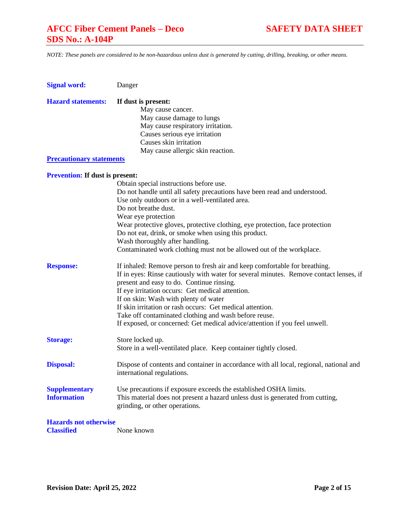*NOTE: These panels are considered to be non-hazardous unless dust is generated by cutting, drilling, breaking, or other means.*

| <b>Signal word:</b>                    | Danger                                                                                 |
|----------------------------------------|----------------------------------------------------------------------------------------|
| <b>Hazard statements:</b>              | If dust is present:                                                                    |
|                                        | May cause cancer.                                                                      |
|                                        | May cause damage to lungs                                                              |
|                                        | May cause respiratory irritation.                                                      |
|                                        | Causes serious eye irritation                                                          |
|                                        | Causes skin irritation                                                                 |
|                                        | May cause allergic skin reaction.                                                      |
| <b>Precautionary statements</b>        |                                                                                        |
| <b>Prevention:</b> If dust is present: |                                                                                        |
|                                        | Obtain special instructions before use.                                                |
|                                        | Do not handle until all safety precautions have been read and understood.              |
|                                        | Use only outdoors or in a well-ventilated area.                                        |
|                                        | Do not breathe dust.                                                                   |
|                                        | Wear eye protection                                                                    |
|                                        | Wear protective gloves, protective clothing, eye protection, face protection           |
|                                        | Do not eat, drink, or smoke when using this product.                                   |
|                                        | Wash thoroughly after handling.                                                        |
|                                        | Contaminated work clothing must not be allowed out of the workplace.                   |
| <b>Response:</b>                       | If inhaled: Remove person to fresh air and keep comfortable for breathing.             |
|                                        | If in eyes: Rinse cautiously with water for several minutes. Remove contact lenses, if |
|                                        | present and easy to do. Continue rinsing.                                              |
|                                        | If eye irritation occurs: Get medical attention.                                       |
|                                        | If on skin: Wash with plenty of water                                                  |
|                                        | If skin irritation or rash occurs: Get medical attention.                              |
|                                        | Take off contaminated clothing and wash before reuse.                                  |
|                                        | If exposed, or concerned: Get medical advice/attention if you feel unwell.             |
| <b>Storage:</b>                        | Store locked up.                                                                       |
|                                        | Store in a well-ventilated place. Keep container tightly closed.                       |
| <b>Disposal:</b>                       | Dispose of contents and container in accordance with all local, regional, national and |
|                                        | international regulations.                                                             |
| <b>Supplementary</b>                   | Use precautions if exposure exceeds the established OSHA limits.                       |
| <b>Information</b>                     | This material does not present a hazard unless dust is generated from cutting,         |
|                                        | grinding, or other operations.                                                         |
| <b>Hazards not otherwise</b>           |                                                                                        |
| <b>Classified</b>                      | None known                                                                             |
|                                        |                                                                                        |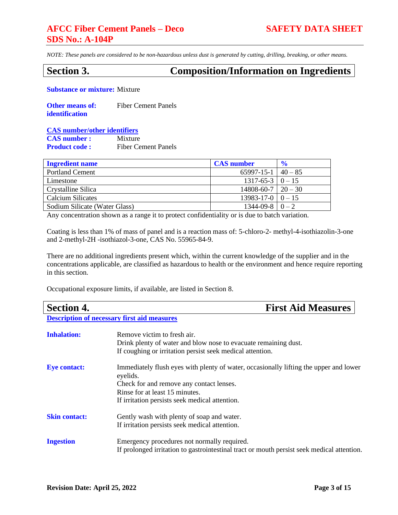*NOTE: These panels are considered to be non-hazardous unless dust is generated by cutting, drilling, breaking, or other means.*

## **Section 3. Composition/Information on Ingredients**

**Substance or mixture:** Mixture

| <b>Other means of:</b> | <b>Fiber Cement Panels</b> |
|------------------------|----------------------------|
| identification         |                            |

### **CAS number/other identifiers CAS number :** Mixture

**Product code :** Fiber Cement Panels

| <b>Ingredient name</b>        | <b>CAS</b> number             | $\frac{1}{2}$ |
|-------------------------------|-------------------------------|---------------|
| <b>Portland Cement</b>        | $65997 - 15 - 1$ $40 - 85$    |               |
| Limestone                     | $1317-65-3$   0 - 15          |               |
| Crystalline Silica            | $14808 - 60 - 7 \mid 20 - 30$ |               |
| Calcium Silicates             | $13983 - 17 - 0 \mid 0 - 15$  |               |
| Sodium Silicate (Water Glass) | $1344-09-8$   $0-2$           |               |

Any concentration shown as a range it to protect confidentiality or is due to batch variation.

Coating is less than 1% of mass of panel and is a reaction mass of: 5-chloro-2- methyl-4-isothiazolin-3-one and 2-methyl-2H -isothiazol-3-one, CAS No. 55965-84-9.

There are no additional ingredients present which, within the current knowledge of the supplier and in the concentrations applicable, are classified as hazardous to health or the environment and hence require reporting in this section.

Occupational exposure limits, if available, are listed in Section 8.

| <b>Section 4.</b>    | <b>First Aid Measures</b>                                                                                                                                                                                                         |
|----------------------|-----------------------------------------------------------------------------------------------------------------------------------------------------------------------------------------------------------------------------------|
|                      | <b>Description of necessary first aid measures</b>                                                                                                                                                                                |
| <b>Inhalation:</b>   | Remove victim to fresh air.<br>Drink plenty of water and blow nose to evacuate remaining dust.<br>If coughing or irritation persist seek medical attention.                                                                       |
| <b>Eye contact:</b>  | Immediately flush eyes with plenty of water, occasionally lifting the upper and lower<br>eyelids.<br>Check for and remove any contact lenses.<br>Rinse for at least 15 minutes.<br>If irritation persists seek medical attention. |
| <b>Skin contact:</b> | Gently wash with plenty of soap and water.<br>If irritation persists seek medical attention.                                                                                                                                      |
| <b>Ingestion</b>     | Emergency procedures not normally required.<br>If prolonged irritation to gastrointestinal tract or mouth persist seek medical attention.                                                                                         |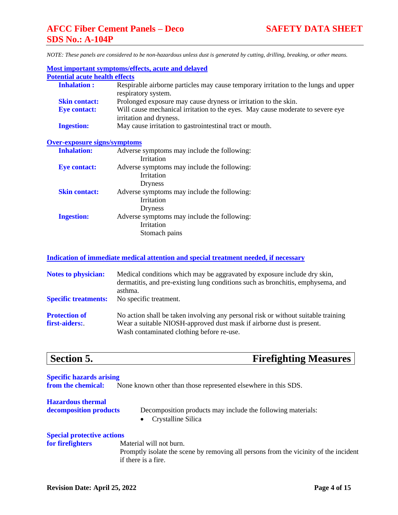| <b>Most important symptoms/effects, acute and delayed</b>                                                  |  |  |
|------------------------------------------------------------------------------------------------------------|--|--|
| <b>Potential acute health effects</b>                                                                      |  |  |
| Respirable airborne particles may cause temporary irritation to the lungs and upper<br>respiratory system. |  |  |
| Prolonged exposure may cause dryness or irritation to the skin.                                            |  |  |
| Will cause mechanical irritation to the eyes. May cause moderate to severe eye<br>irritation and dryness.  |  |  |
| May cause irritation to gastrointestinal tract or mouth.                                                   |  |  |
| <b>Over-exposure signs/symptoms</b>                                                                        |  |  |
| Adverse symptoms may include the following:                                                                |  |  |
| Irritation                                                                                                 |  |  |
| Adverse symptoms may include the following:                                                                |  |  |
| Irritation                                                                                                 |  |  |
| <b>Dryness</b>                                                                                             |  |  |
| Adverse symptoms may include the following:                                                                |  |  |
| Irritation                                                                                                 |  |  |
| Dryness                                                                                                    |  |  |
| Adverse symptoms may include the following:                                                                |  |  |
| Irritation                                                                                                 |  |  |
| Stomach pains                                                                                              |  |  |
|                                                                                                            |  |  |

### **Indication of immediate medical attention and special treatment needed, if necessary**

| <b>Notes to physician:</b>            | Medical conditions which may be aggravated by exposure include dry skin,<br>dermatitis, and pre-existing lung conditions such as bronchitis, emphysema, and<br>asthma.                                  |
|---------------------------------------|---------------------------------------------------------------------------------------------------------------------------------------------------------------------------------------------------------|
| <b>Specific treatments:</b>           | No specific treatment.                                                                                                                                                                                  |
| <b>Protection of</b><br>first-aiders: | No action shall be taken involving any personal risk or without suitable training<br>Wear a suitable NIOSH-approved dust mask if airborne dust is present.<br>Wash contaminated clothing before re-use. |

**Section 5. Firefighting Measures**

**Specific hazards arising from the chemical:** None known other than those represented elsewhere in this SDS. **Hazardous thermal decomposition products** Decomposition products may include the following materials: • Crystalline Silica **Special protective actions for firefighters** Material will not burn.

Promptly isolate the scene by removing all persons from the vicinity of the incident if there is a fire.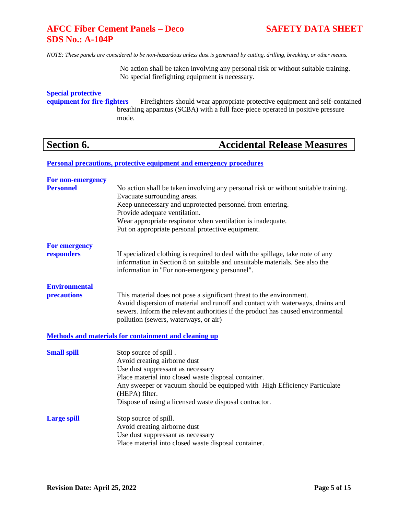*NOTE: These panels are considered to be non-hazardous unless dust is generated by cutting, drilling, breaking, or other means.*

No action shall be taken involving any personal risk or without suitable training. No special firefighting equipment is necessary.

## **Special protective**

**equipment for fire-fighters** Firefighters should wear appropriate protective equipment and self-contained breathing apparatus (SCBA) with a full face-piece operated in positive pressure mode.

## **Section 6. Accidental Release Measures**

**Personal precautions, protective equipment and emergency procedures**

| For non-emergency    |                                                                                                                                                                                                                 |
|----------------------|-----------------------------------------------------------------------------------------------------------------------------------------------------------------------------------------------------------------|
| <b>Personnel</b>     | No action shall be taken involving any personal risk or without suitable training.<br>Evacuate surrounding areas.                                                                                               |
|                      | Keep unnecessary and unprotected personnel from entering.                                                                                                                                                       |
|                      | Provide adequate ventilation.                                                                                                                                                                                   |
|                      | Wear appropriate respirator when ventilation is inadequate.<br>Put on appropriate personal protective equipment.                                                                                                |
| <b>For emergency</b> |                                                                                                                                                                                                                 |
| responders           | If specialized clothing is required to deal with the spillage, take note of any<br>information in Section 8 on suitable and unsuitable materials. See also the<br>information in "For non-emergency personnel". |
| <b>Environmental</b> |                                                                                                                                                                                                                 |
| precautions          | This material does not pose a significant threat to the environment.                                                                                                                                            |
|                      | Avoid dispersion of material and runoff and contact with waterways, drains and                                                                                                                                  |
|                      | sewers. Inform the relevant authorities if the product has caused environmental<br>pollution (sewers, waterways, or air)                                                                                        |
|                      |                                                                                                                                                                                                                 |
|                      | <b>Methods and materials for containment and cleaning up</b>                                                                                                                                                    |
| <b>Small spill</b>   | Stop source of spill.                                                                                                                                                                                           |
|                      | Avoid creating airborne dust                                                                                                                                                                                    |
|                      | Use dust suppressant as necessary                                                                                                                                                                               |
|                      | Place material into closed waste disposal container.<br>Any sweeper or vacuum should be equipped with High Efficiency Particulate                                                                               |
|                      | (HEPA) filter.                                                                                                                                                                                                  |
|                      | Dispose of using a licensed waste disposal contractor.                                                                                                                                                          |
| <b>Large spill</b>   | Stop source of spill.                                                                                                                                                                                           |
|                      | Avoid creating airborne dust                                                                                                                                                                                    |
|                      | Use dust suppressant as necessary                                                                                                                                                                               |
|                      | Place material into closed waste disposal container.                                                                                                                                                            |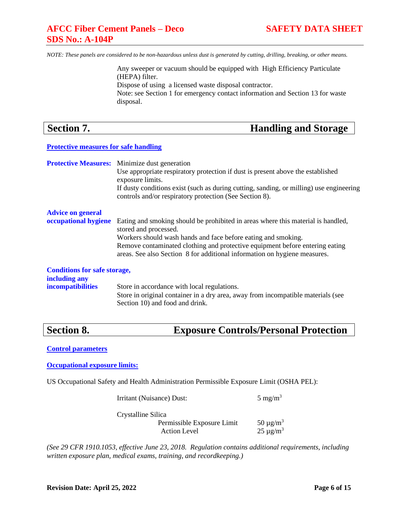*NOTE: These panels are considered to be non-hazardous unless dust is generated by cutting, drilling, breaking, or other means.*

Any sweeper or vacuum should be equipped with High Efficiency Particulate (HEPA) filter. Dispose of using a licensed waste disposal contractor. Note: see Section 1 for emergency contact information and Section 13 for waste disposal.

| <b>Section 7.</b> |  |
|-------------------|--|
|                   |  |

## **Handling and Storage**

## **Protective measures for safe handling**

**Protective Measures:** Minimize dust generation Use appropriate respiratory protection if dust is present above the established exposure limits. If dusty conditions exist (such as during cutting, sanding, or milling) use engineering controls and/or respiratory protection (See Section 8). **Advice on general occupational hygiene** Eating and smoking should be prohibited in areas where this material is handled, stored and processed. Workers should wash hands and face before eating and smoking. Remove contaminated clothing and protective equipment before entering eating areas. See also Section 8 for additional information on hygiene measures.

## **Conditions for safe storage, including any**

**incompatibilities** Store in accordance with local regulations. Store in original container in a dry area, away from incompatible materials (see Section 10) and food and drink.

## **Section 8. Exposure Controls/Personal Protection**

**Control parameters**

**Occupational exposure limits:**

US Occupational Safety and Health Administration Permissible Exposure Limit (OSHA PEL):

Irritant (Nuisance) Dust: 5 mg/m<sup>3</sup>

Crystalline Silica

Permissible Exposure Limit  $50 \mu g/m^3$ Action Level 25  $\mu$ g/m<sup>3</sup>

*(See 29 CFR 1910.1053, effective June 23, 2018. Regulation contains additional requirements, including written exposure plan, medical exams, training, and recordkeeping.)*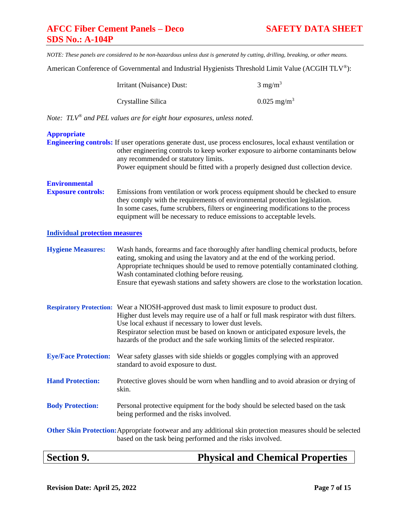American Conference of Governmental and Industrial Hygienists Threshold Limit Value (ACGIH TLV®):

| Irritant (Nuisance) Dust: | $3 \text{ mg/m}^3$     |
|---------------------------|------------------------|
| Crystalline Silica        | $0.025 \text{ mg/m}^3$ |

*Note: TLV® and PEL values are for eight hour exposures, unless noted.*

| <b>Section 9.</b>                                 | <b>Physical and Chemical Properties</b>                                                                                                                                                                                                                                                                                                                                                                            |
|---------------------------------------------------|--------------------------------------------------------------------------------------------------------------------------------------------------------------------------------------------------------------------------------------------------------------------------------------------------------------------------------------------------------------------------------------------------------------------|
|                                                   | Other Skin Protection: Appropriate footwear and any additional skin protection measures should be selected<br>based on the task being performed and the risks involved.                                                                                                                                                                                                                                            |
| <b>Body Protection:</b>                           | Personal protective equipment for the body should be selected based on the task<br>being performed and the risks involved.                                                                                                                                                                                                                                                                                         |
| <b>Hand Protection:</b>                           | Protective gloves should be worn when handling and to avoid abrasion or drying of<br>skin.                                                                                                                                                                                                                                                                                                                         |
| <b>Eye/Face Protection:</b>                       | Wear safety glasses with side shields or goggles complying with an approved<br>standard to avoid exposure to dust.                                                                                                                                                                                                                                                                                                 |
|                                                   | Respiratory Protection: Wear a NIOSH-approved dust mask to limit exposure to product dust.<br>Higher dust levels may require use of a half or full mask respirator with dust filters.<br>Use local exhaust if necessary to lower dust levels.<br>Respirator selection must be based on known or anticipated exposure levels, the<br>hazards of the product and the safe working limits of the selected respirator. |
| <b>Hygiene Measures:</b>                          | Wash hands, forearms and face thoroughly after handling chemical products, before<br>eating, smoking and using the lavatory and at the end of the working period.<br>Appropriate techniques should be used to remove potentially contaminated clothing.<br>Wash contaminated clothing before reusing.<br>Ensure that eyewash stations and safety showers are close to the workstation location.                    |
| <b>Individual protection measures</b>             |                                                                                                                                                                                                                                                                                                                                                                                                                    |
| <b>Environmental</b><br><b>Exposure controls:</b> | Emissions from ventilation or work process equipment should be checked to ensure<br>they comply with the requirements of environmental protection legislation.<br>In some cases, fume scrubbers, filters or engineering modifications to the process<br>equipment will be necessary to reduce emissions to acceptable levels.                                                                                      |
| <b>Appropriate</b>                                | Engineering controls: If user operations generate dust, use process enclosures, local exhaust ventilation or<br>other engineering controls to keep worker exposure to airborne contaminants below<br>any recommended or statutory limits.<br>Power equipment should be fitted with a properly designed dust collection device.                                                                                     |
|                                                   |                                                                                                                                                                                                                                                                                                                                                                                                                    |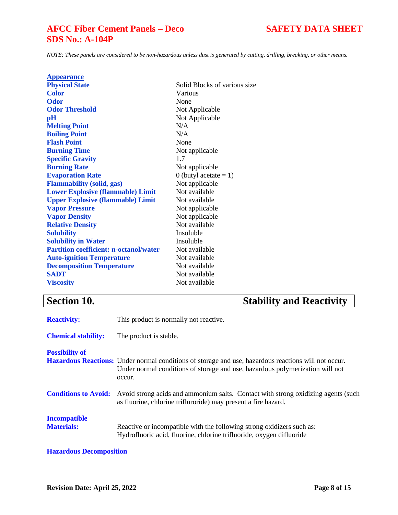*NOTE: These panels are considered to be non-hazardous unless dust is generated by cutting, drilling, breaking, or other means.*

| <b>Appearance</b>                             |                              |
|-----------------------------------------------|------------------------------|
| <b>Physical State</b>                         | Solid Blocks of various size |
| Color                                         | Various                      |
| <b>Odor</b>                                   | None                         |
| <b>Odor Threshold</b>                         | Not Applicable               |
| pH                                            | Not Applicable               |
| <b>Melting Point</b>                          | N/A                          |
| <b>Boiling Point</b>                          | N/A                          |
| <b>Flash Point</b>                            | None                         |
| <b>Burning Time</b>                           | Not applicable               |
| <b>Specific Gravity</b>                       | 1.7                          |
| <b>Burning Rate</b>                           | Not applicable               |
| <b>Evaporation Rate</b>                       | 0 (butyl acetate $= 1$ )     |
| <b>Flammability (solid, gas)</b>              | Not applicable               |
| <b>Lower Explosive (flammable) Limit</b>      | Not available                |
| <b>Upper Explosive (flammable) Limit</b>      | Not available                |
| <b>Vapor Pressure</b>                         | Not applicable               |
| <b>Vapor Density</b>                          | Not applicable               |
| <b>Relative Density</b>                       | Not available                |
| <b>Solubility</b>                             | Insoluble                    |
| <b>Solubility in Water</b>                    | Insoluble                    |
| <b>Partition coefficient: n-octanol/water</b> | Not available                |
| <b>Auto-ignition Temperature</b>              | Not available                |
| <b>Decomposition Temperature</b>              | Not available                |
| <b>SADT</b>                                   | Not available                |
| <b>Viscosity</b>                              | Not available                |
|                                               |                              |

## **Section 10. Stability and Reactivity**

| <b>Reactivity:</b>                       | This product is normally not reactive.                                                                                                                                                                 |
|------------------------------------------|--------------------------------------------------------------------------------------------------------------------------------------------------------------------------------------------------------|
| <b>Chemical stability:</b>               | The product is stable.                                                                                                                                                                                 |
| <b>Possibility of</b>                    | <b>Hazardous Reactions:</b> Under normal conditions of storage and use, hazardous reactions will not occur.<br>Under normal conditions of storage and use, hazardous polymerization will not<br>occur. |
| <b>Conditions to Avoid:</b>              | Avoid strong acids and ammonium salts. Contact with strong oxidizing agents (such<br>as fluorine, chlorine trifluroride) may present a fire hazard.                                                    |
| <b>Incompatible</b><br><b>Materials:</b> | Reactive or incompatible with the following strong oxidizers such as:<br>Hydrofluoric acid, fluorine, chlorine trifluoride, oxygen difluoride                                                          |

## **Hazardous Decomposition**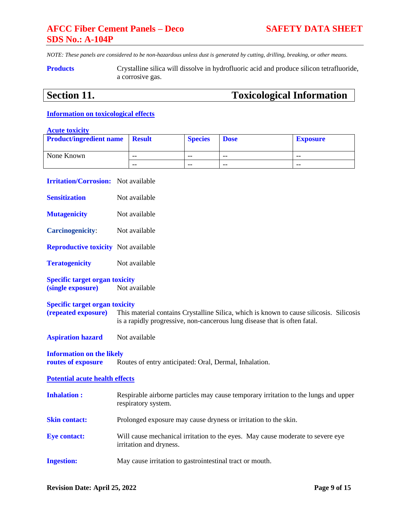*NOTE: These panels are considered to be non-hazardous unless dust is generated by cutting, drilling, breaking, or other means.*

**Products** Crystalline silica will dissolve in hydrofluoric acid and produce silicon tetrafluoride, a corrosive gas.

## **Section 11. Toxicological Information**

## **Information on toxicological effects**

## **Acute toxicity**

| <b>Product/ingredient name</b> | <b>Result</b> | <b>Species</b> | <b>Dose</b> | <b>Exposure</b> |
|--------------------------------|---------------|----------------|-------------|-----------------|
| None Known                     | $- -$         | $- -$          | $- -$       | --              |
|                                | $- -$         | $- -$          | $- -$       | --              |

| <b>Irritation/Corrosion:</b> Not available                   |                                                                                                                                                                      |
|--------------------------------------------------------------|----------------------------------------------------------------------------------------------------------------------------------------------------------------------|
| <b>Sensitization</b>                                         | Not available                                                                                                                                                        |
| <b>Mutagenicity</b>                                          | Not available                                                                                                                                                        |
| <b>Carcinogenicity:</b>                                      | Not available                                                                                                                                                        |
| <b>Reproductive toxicity</b> Not available                   |                                                                                                                                                                      |
| <b>Teratogenicity</b>                                        | Not available                                                                                                                                                        |
| <b>Specific target organ toxicity</b><br>(single exposure)   | Not available                                                                                                                                                        |
| <b>Specific target organ toxicity</b><br>(repeated exposure) | This material contains Crystalline Silica, which is known to cause silicosis. Silicosis<br>is a rapidly progressive, non-cancerous lung disease that is often fatal. |
| <b>Aspiration hazard</b>                                     | Not available                                                                                                                                                        |
| <b>Information on the likely</b><br>routes of exposure       | Routes of entry anticipated: Oral, Dermal, Inhalation.                                                                                                               |
| <b>Potential acute health effects</b>                        |                                                                                                                                                                      |
| <b>Inhalation:</b>                                           | Respirable airborne particles may cause temporary irritation to the lungs and upper<br>respiratory system.                                                           |
| <b>Skin contact:</b>                                         | Prolonged exposure may cause dryness or irritation to the skin.                                                                                                      |
| <b>Eye contact:</b>                                          | Will cause mechanical irritation to the eyes. May cause moderate to severe eye<br>irritation and dryness.                                                            |
| <b>Ingestion:</b>                                            | May cause irritation to gastrointestinal tract or mouth.                                                                                                             |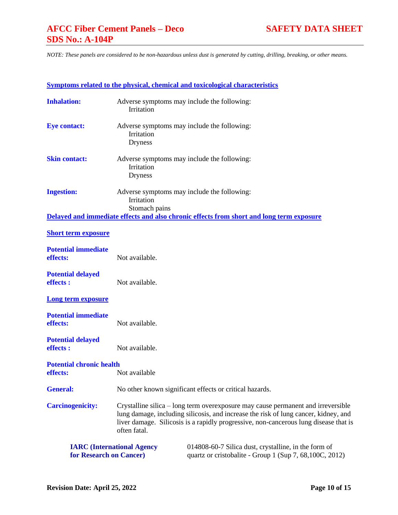|                                             |                                                                                                                                                                                                                                                                                 | <b>Symptoms related to the physical, chemical and toxicological characteristics</b>                              |  |  |
|---------------------------------------------|---------------------------------------------------------------------------------------------------------------------------------------------------------------------------------------------------------------------------------------------------------------------------------|------------------------------------------------------------------------------------------------------------------|--|--|
| <b>Inhalation:</b>                          | Adverse symptoms may include the following:<br>Irritation                                                                                                                                                                                                                       |                                                                                                                  |  |  |
| <b>Eye contact:</b>                         | Adverse symptoms may include the following:<br>Irritation<br><b>Dryness</b>                                                                                                                                                                                                     |                                                                                                                  |  |  |
| <b>Skin contact:</b>                        | Adverse symptoms may include the following:<br>Irritation<br><b>Dryness</b>                                                                                                                                                                                                     |                                                                                                                  |  |  |
| <b>Ingestion:</b>                           | Adverse symptoms may include the following:<br>Irritation<br>Stomach pains                                                                                                                                                                                                      |                                                                                                                  |  |  |
|                                             |                                                                                                                                                                                                                                                                                 | Delayed and immediate effects and also chronic effects from short and long term exposure                         |  |  |
| <b>Short term exposure</b>                  |                                                                                                                                                                                                                                                                                 |                                                                                                                  |  |  |
| <b>Potential immediate</b><br>effects:      | Not available.                                                                                                                                                                                                                                                                  |                                                                                                                  |  |  |
| <b>Potential delayed</b><br>effects :       | Not available.                                                                                                                                                                                                                                                                  |                                                                                                                  |  |  |
| <b>Long term exposure</b>                   |                                                                                                                                                                                                                                                                                 |                                                                                                                  |  |  |
| <b>Potential immediate</b><br>effects:      | Not available.                                                                                                                                                                                                                                                                  |                                                                                                                  |  |  |
| <b>Potential delayed</b><br>effects :       | Not available.                                                                                                                                                                                                                                                                  |                                                                                                                  |  |  |
| <b>Potential chronic health</b><br>effects: | Not available                                                                                                                                                                                                                                                                   |                                                                                                                  |  |  |
| <b>General:</b>                             | No other known significant effects or critical hazards.                                                                                                                                                                                                                         |                                                                                                                  |  |  |
| <b>Carcinogenicity:</b>                     | Crystalline silica – long term overexposure may cause permanent and irreversible<br>lung damage, including silicosis, and increase the risk of lung cancer, kidney, and<br>liver damage. Silicosis is a rapidly progressive, non-cancerous lung disease that is<br>often fatal. |                                                                                                                  |  |  |
| for Research on Cancer)                     | <b>IARC</b> (International Agency                                                                                                                                                                                                                                               | 014808-60-7 Silica dust, crystalline, in the form of<br>quartz or cristobalite - Group 1 (Sup 7, 68, 100C, 2012) |  |  |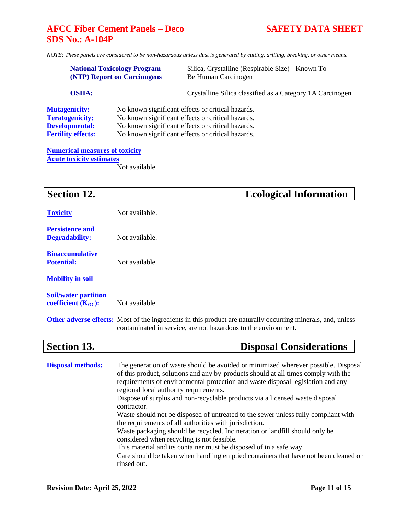*NOTE: These panels are considered to be non-hazardous unless dust is generated by cutting, drilling, breaking, or other means.*

|                                                                                                      | <b>National Toxicology Program</b><br><b>(NTP)</b> Report on Carcinogens | Silica, Crystalline (Respirable Size) - Known To<br>Be Human Carcinogen                                                                                                                                          |
|------------------------------------------------------------------------------------------------------|--------------------------------------------------------------------------|------------------------------------------------------------------------------------------------------------------------------------------------------------------------------------------------------------------|
| <b>OSHA:</b>                                                                                         |                                                                          | Crystalline Silica classified as a Category 1A Carcinogen                                                                                                                                                        |
| <b>Mutagenicity:</b><br><b>Teratogenicity:</b><br><b>Developmental:</b><br><b>Fertility effects:</b> |                                                                          | No known significant effects or critical hazards.<br>No known significant effects or critical hazards.<br>No known significant effects or critical hazards.<br>No known significant effects or critical hazards. |

## **Numerical measures of toxicity Acute toxicity estimates**

Not available.

## **Section 12. Ecological Information**

| <b>Toxicity</b>                                         | Not available.                                                                                                                                                                                                                                                                                                                                                                                                                                                                                                                                       |
|---------------------------------------------------------|------------------------------------------------------------------------------------------------------------------------------------------------------------------------------------------------------------------------------------------------------------------------------------------------------------------------------------------------------------------------------------------------------------------------------------------------------------------------------------------------------------------------------------------------------|
| <b>Persistence and</b><br><b>Degradability:</b>         | Not available.                                                                                                                                                                                                                                                                                                                                                                                                                                                                                                                                       |
| <b>Bioaccumulative</b><br><b>Potential:</b>             | Not available.                                                                                                                                                                                                                                                                                                                                                                                                                                                                                                                                       |
| <b>Mobility in soil</b>                                 |                                                                                                                                                                                                                                                                                                                                                                                                                                                                                                                                                      |
| <b>Soil/water partition</b><br>coefficient $(K_{OC})$ : | Not available                                                                                                                                                                                                                                                                                                                                                                                                                                                                                                                                        |
|                                                         | <b>Other adverse effects:</b> Most of the ingredients in this product are naturally occurring minerals, and, unless<br>contaminated in service, are not hazardous to the environment.                                                                                                                                                                                                                                                                                                                                                                |
| <b>Section 13.</b>                                      | <b>Disposal Considerations</b>                                                                                                                                                                                                                                                                                                                                                                                                                                                                                                                       |
| <b>Disposal methods:</b>                                | The generation of waste should be avoided or minimized wherever possible. Disposal<br>of this product, solutions and any by-products should at all times comply with the<br>requirements of environmental protection and waste disposal legislation and any<br>regional local authority requirements.<br>Dispose of surplus and non-recyclable products via a licensed waste disposal<br>contractor.<br>Waste should not be disposed of untreated to the sewer unless fully compliant with<br>the requirements of all authorities with jurisdiction. |

Waste packaging should be recycled. Incineration or landfill should only be considered when recycling is not feasible.

This material and its container must be disposed of in a safe way.

Care should be taken when handling emptied containers that have not been cleaned or rinsed out.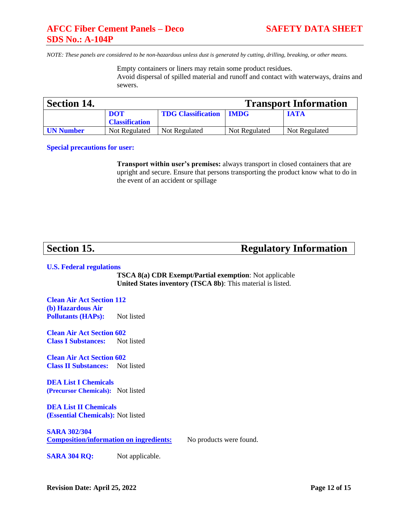Empty containers or liners may retain some product residues. Avoid dispersal of spilled material and runoff and contact with waterways, drains and sewers.

| <b>Section 14.</b> |                       |                           |               | <b>Transport Information</b> |
|--------------------|-----------------------|---------------------------|---------------|------------------------------|
|                    | <b>DOT</b>            | <b>TDG Classification</b> | <b>IMDG</b>   | <b>IATA</b>                  |
|                    | <b>Classification</b> |                           |               |                              |
| <b>UN Number</b>   | Not Regulated         | Not Regulated             | Not Regulated | Not Regulated                |

**Special precautions for user:**

**Transport within user's premises:** always transport in closed containers that are upright and secure. Ensure that persons transporting the product know what to do in the event of an accident or spillage

**Section 15. Regulatory Information** 

### **U.S. Federal regulations**

**TSCA 8(a) CDR Exempt/Partial exemption**: Not applicable **United States inventory (TSCA 8b)**: This material is listed.

**Clean Air Act Section 112 (b) Hazardous Air Pollutants (HAPs):** Not listed

**Clean Air Act Section 602 Class I Substances:** Not listed

**Clean Air Act Section 602 Class II Substances:** Not listed

**DEA List I Chemicals (Precursor Chemicals):** Not listed

**DEA List II Chemicals (Essential Chemicals):** Not listed

**SARA 302/304 Composition/information on ingredients:** No products were found.

**SARA 304 RO:** Not applicable.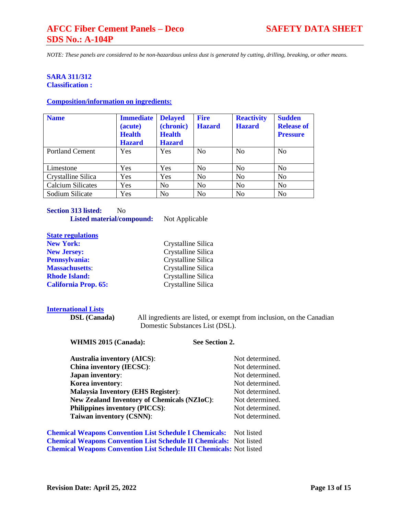*NOTE: These panels are considered to be non-hazardous unless dust is generated by cutting, drilling, breaking, or other means.*

### **SARA 311/312 Classification :**

### **Composition/information on ingredients:**

| <b>Name</b>              | <b>Immediate</b><br>(acute)<br><b>Health</b><br><b>Hazard</b> | <b>Delayed</b><br>(chronic)<br><b>Health</b><br><b>Hazard</b> | <b>Fire</b><br><b>Hazard</b> | <b>Reactivity</b><br><b>Hazard</b> | <b>Sudden</b><br><b>Release of</b><br><b>Pressure</b> |
|--------------------------|---------------------------------------------------------------|---------------------------------------------------------------|------------------------------|------------------------------------|-------------------------------------------------------|
| <b>Portland Cement</b>   | Yes                                                           | Yes                                                           | N <sub>0</sub>               | N <sub>0</sub>                     | N <sub>0</sub>                                        |
| Limestone                | Yes                                                           | Yes                                                           | N <sub>0</sub>               | N <sub>0</sub>                     | No                                                    |
| Crystalline Silica       | Yes                                                           | Yes                                                           | No                           | N <sub>0</sub>                     | N <sub>0</sub>                                        |
| <b>Calcium Silicates</b> | Yes                                                           | No                                                            | No                           | N <sub>0</sub>                     | N <sub>0</sub>                                        |
| Sodium Silicate          | Yes                                                           | N <sub>0</sub>                                                | N <sub>0</sub>               | N <sub>o</sub>                     | N <sub>0</sub>                                        |

**Crystalline Silica** 

| <b>Section 313 listed:</b> | Nο                               |                |
|----------------------------|----------------------------------|----------------|
|                            | <b>Listed material/compound:</b> | Not Applicable |

# **State regulations**<br>**New York:**

| <b>New Jersey:</b>          | Crystalline Silica |
|-----------------------------|--------------------|
| <b>Pennsylvania:</b>        | Crystalline Silica |
| <b>Massachusetts:</b>       | Crystalline Silica |
| <b>Rhode Island:</b>        | Crystalline Silica |
| <b>California Prop. 65:</b> | Crystalline Silica |

## **International Lists**

**DSL (Canada)** All ingredients are listed, or exempt from inclusion, on the Canadian Domestic Substances List (DSL).

| <b>Australia inventory (AICS):</b>                 | Not determined. |
|----------------------------------------------------|-----------------|
| <b>China inventory (IECSC):</b>                    | Not determined. |
| <b>Japan inventory:</b>                            | Not determined. |
| Korea inventory:                                   | Not determined. |
| <b>Malaysia Inventory (EHS Register):</b>          | Not determined. |
| <b>New Zealand Inventory of Chemicals (NZIoC):</b> | Not determined. |
| <b>Philippines inventory (PICCS):</b>              | Not determined. |
| <b>Taiwan inventory (CSNN):</b>                    | Not determined. |

**Chemical Weapons Convention List Schedule I Chemicals:** Not listed **Chemical Weapons Convention List Schedule II Chemicals:** Not listed **Chemical Weapons Convention List Schedule III Chemicals:** Not listed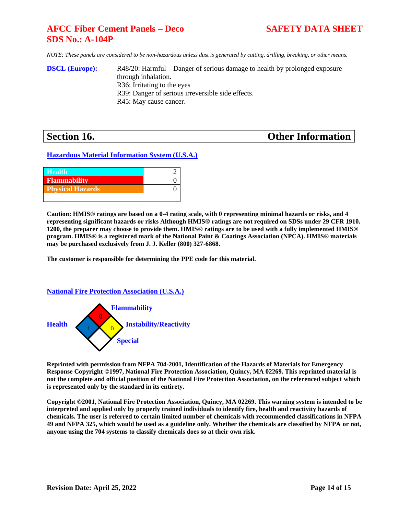*NOTE: These panels are considered to be non-hazardous unless dust is generated by cutting, drilling, breaking, or other means.*

**DSCL (Europe):** R48/20: Harmful – Danger of serious damage to health by prolonged exposure through inhalation. R36: Irritating to the eyes R39: Danger of serious irreversible side effects. R45: May cause cancer.

## **Section 16. Other Information**

**Hazardous Material Information System (U.S.A.)**

| <b>Health</b>           |  |
|-------------------------|--|
| <b>Flammability</b>     |  |
| <b>Physical Hazards</b> |  |
|                         |  |

**Caution: HMIS® ratings are based on a 0-4 rating scale, with 0 representing minimal hazards or risks, and 4 representing significant hazards or risks Although HMIS® ratings are not required on SDSs under 29 CFR 1910. 1200, the preparer may choose to provide them. HMIS® ratings are to be used with a fully implemented HMIS® program. HMIS® is a registered mark of the National Paint & Coatings Association (NPCA). HMIS® materials may be purchased exclusively from J. J. Keller (800) 327-6868.**

**The customer is responsible for determining the PPE code for this material.**

## **National Fire Protection Association (U.S.A.)**



**Reprinted with permission from NFPA 704-2001, Identification of the Hazards of Materials for Emergency Response Copyright ©1997, National Fire Protection Association, Quincy, MA 02269. This reprinted material is not the complete and official position of the National Fire Protection Association, on the referenced subject which is represented only by the standard in its entirety.**

**Copyright ©2001, National Fire Protection Association, Quincy, MA 02269. This warning system is intended to be interpreted and applied only by properly trained individuals to identify fire, health and reactivity hazards of chemicals. The user is referred to certain limited number of chemicals with recommended classifications in NFPA 49 and NFPA 325, which would be used as a guideline only. Whether the chemicals are classified by NFPA or not, anyone using the 704 systems to classify chemicals does so at their own risk.**